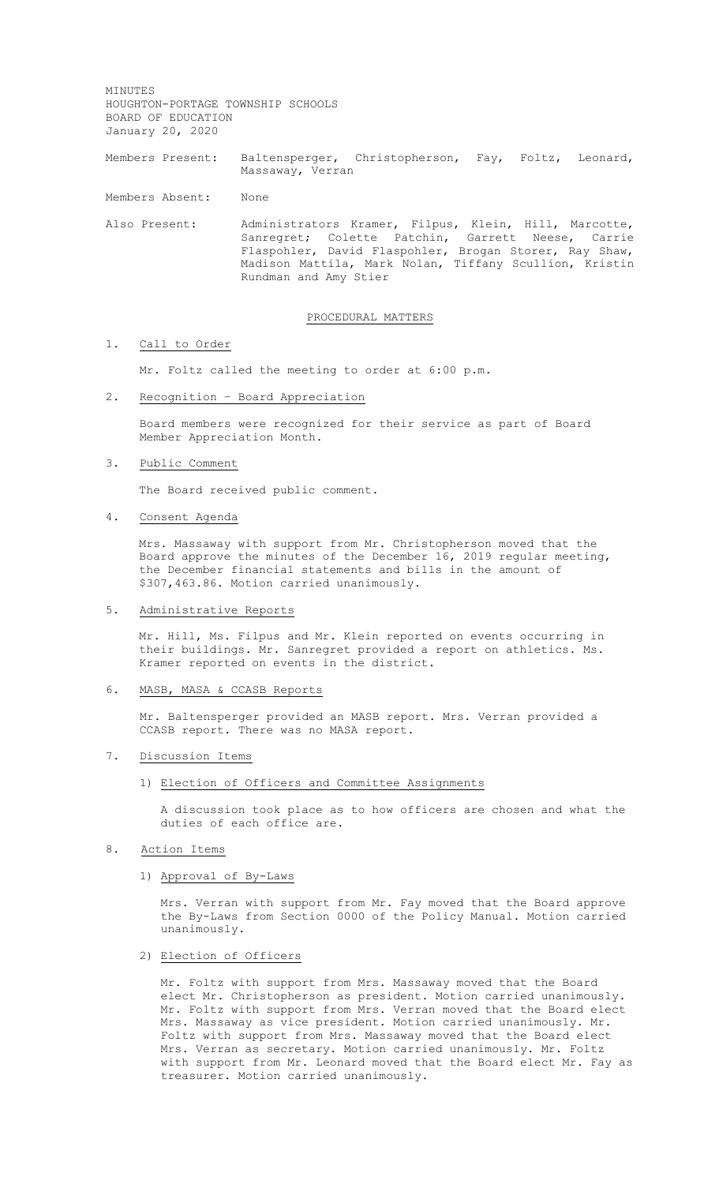MINUTES HOUGHTON-PORTAGE TOWNSHIP SCHOOLS BOARD OF EDUCATION January 20, 2020

Members Present: Baltensperger, Christopherson, Fay, Foltz, Leonard, Massaway, Verran

Members Absent: None

Also Present: Administrators Kramer, Filpus, Klein, Hill, Marcotte, Sanregret; Colette Patchin, Garrett Neese, Carrie Flaspohler, David Flaspohler, Brogan Storer, Ray Shaw, Madison Mattila, Mark Nolan, Tiffany Scullion, Kristin Rundman and Amy Stier

# PROCEDURAL MATTERS

#### 1. Call to Order

Mr. Foltz called the meeting to order at 6:00 p.m.

2. Recognition – Board Appreciation

Board members were recognized for their service as part of Board Member Appreciation Month.

3. Public Comment

The Board received public comment.

### 4. Consent Agenda

Mrs. Massaway with support from Mr. Christopherson moved that the Board approve the minutes of the December 16, 2019 regular meeting, the December financial statements and bills in the amount of \$307,463.86. Motion carried unanimously.

5. Administrative Reports

Mr. Hill, Ms. Filpus and Mr. Klein reported on events occurring in their buildings. Mr. Sanregret provided a report on athletics. Ms. Kramer reported on events in the district.

#### 6. MASB, MASA & CCASB Reports

Mr. Baltensperger provided an MASB report. Mrs. Verran provided a CCASB report. There was no MASA report.

- 7. Discussion Items
	- 1) Election of Officers and Committee Assignments

A discussion took place as to how officers are chosen and what the duties of each office are.

- 8. Action Items
	- 1) Approval of By-Laws

Mrs. Verran with support from Mr. Fay moved that the Board approve the By-Laws from Section 0000 of the Policy Manual. Motion carried unanimously.

2) Election of Officers

Mr. Foltz with support from Mrs. Massaway moved that the Board elect Mr. Christopherson as president. Motion carried unanimously. Mr. Foltz with support from Mrs. Verran moved that the Board elect Mrs. Massaway as vice president. Motion carried unanimously. Mr. Foltz with support from Mrs. Massaway moved that the Board elect Mrs. Verran as secretary. Motion carried unanimously. Mr. Foltz with support from Mr. Leonard moved that the Board elect Mr. Fay as treasurer. Motion carried unanimously.